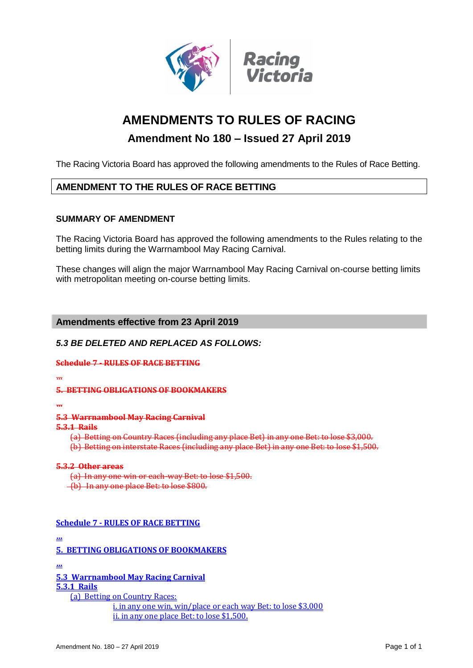

# **AMENDMENTS TO RULES OF RACING**

## **Amendment No 180 – Issued 27 April 2019**

The Racing Victoria Board has approved the following amendments to the Rules of Race Betting.

## **AMENDMENT TO THE RULES OF RACE BETTING**

#### **SUMMARY OF AMENDMENT**

The Racing Victoria Board has approved the following amendments to the Rules relating to the betting limits during the Warrnambool May Racing Carnival.

These changes will align the major Warrnambool May Racing Carnival on-course betting limits with metropolitan meeting on-course betting limits.

#### **Amendments effective from 23 April 2019**

#### *5.3 BE DELETED AND REPLACED AS FOLLOWS:*

#### **Schedule 7 - RULES OF RACE BETTING**

**…**

#### **5. BETTING OBLIGATIONS OF BOOKMAKERS**

**…**

**5.3 Warrnambool May Racing Carnival**

#### **5.3.1 Rails**

(a) Betting on Country Races (including any place Bet) in any one Bet: to lose \$3,000. (b) Betting on interstate Races (including any place Bet) in any one Bet: to lose \$1,500.

#### **5.3.2 Other areas**

(a) In any one win or each-way Bet: to lose \$1,500.

(b) In any one place Bet: to lose \$800.

#### **Schedule 7 - RULES OF RACE BETTING**

**…**

**5. BETTING OBLIGATIONS OF BOOKMAKERS**

**…**

**5.3 Warrnambool May Racing Carnival**

**5.3.1 Rails** 

(a) Betting on Country Races: i. in any one win, win/place or each way Bet: to lose \$3,000 ii. in any one place Bet: to lose \$1,500.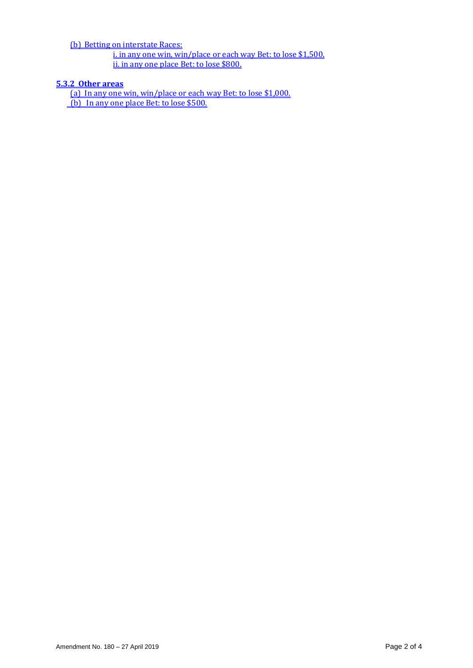(b) Betting on interstate Races:

i. in any one win, win/place or each way Bet: to lose \$1,500. <u>ii. in any one place Bet: to lose \$800.</u>

## **5.3.2 Other areas**

(a) In any one win, win/place or each way Bet: to lose \$1,000. (b) In any one place Bet: to lose \$500.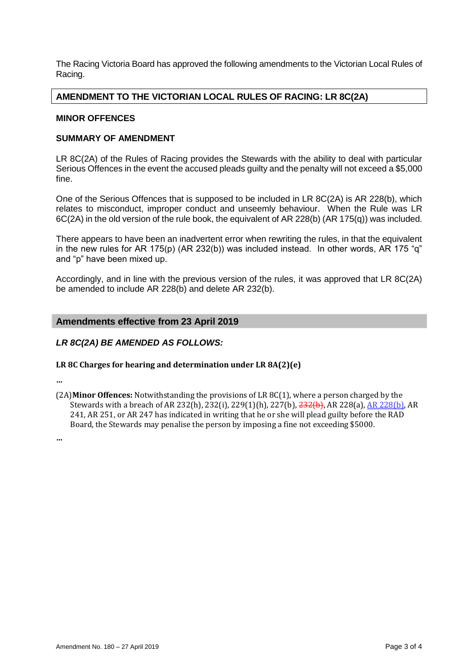The Racing Victoria Board has approved the following amendments to the Victorian Local Rules of Racing.

#### **AMENDMENT TO THE VICTORIAN LOCAL RULES OF RACING: LR 8C(2A)**

#### **MINOR OFFENCES**

#### **SUMMARY OF AMENDMENT**

LR 8C(2A) of the Rules of Racing provides the Stewards with the ability to deal with particular Serious Offences in the event the accused pleads guilty and the penalty will not exceed a \$5,000 fine.

One of the Serious Offences that is supposed to be included in LR 8C(2A) is AR 228(b), which relates to misconduct, improper conduct and unseemly behaviour. When the Rule was LR 6C(2A) in the old version of the rule book, the equivalent of AR 228(b) (AR 175(q)) was included.

There appears to have been an inadvertent error when rewriting the rules, in that the equivalent in the new rules for AR 175(p) (AR 232(b)) was included instead. In other words, AR 175 "q" and "p" have been mixed up.

Accordingly, and in line with the previous version of the rules, it was approved that LR 8C(2A) be amended to include AR 228(b) and delete AR 232(b).

#### **Amendments effective from 23 April 2019**

#### *LR 8C(2A) BE AMENDED AS FOLLOWS:*

#### **LR 8C Charges for hearing and determination under LR 8A(2)(e)**

**…**

(2A)**Minor Offences:** Notwithstanding the provisions of LR 8C(1), where a person charged by the Stewards with a breach of AR 232(h), 232(i), 229(1)(h), 227(b), 232(b), AR 228(a), AR 228(b), AR 241, AR 251, or AR 247 has indicated in writing that he or she will plead guilty before the RAD Board, the Stewards may penalise the person by imposing a fine not exceeding \$5000.

**…**